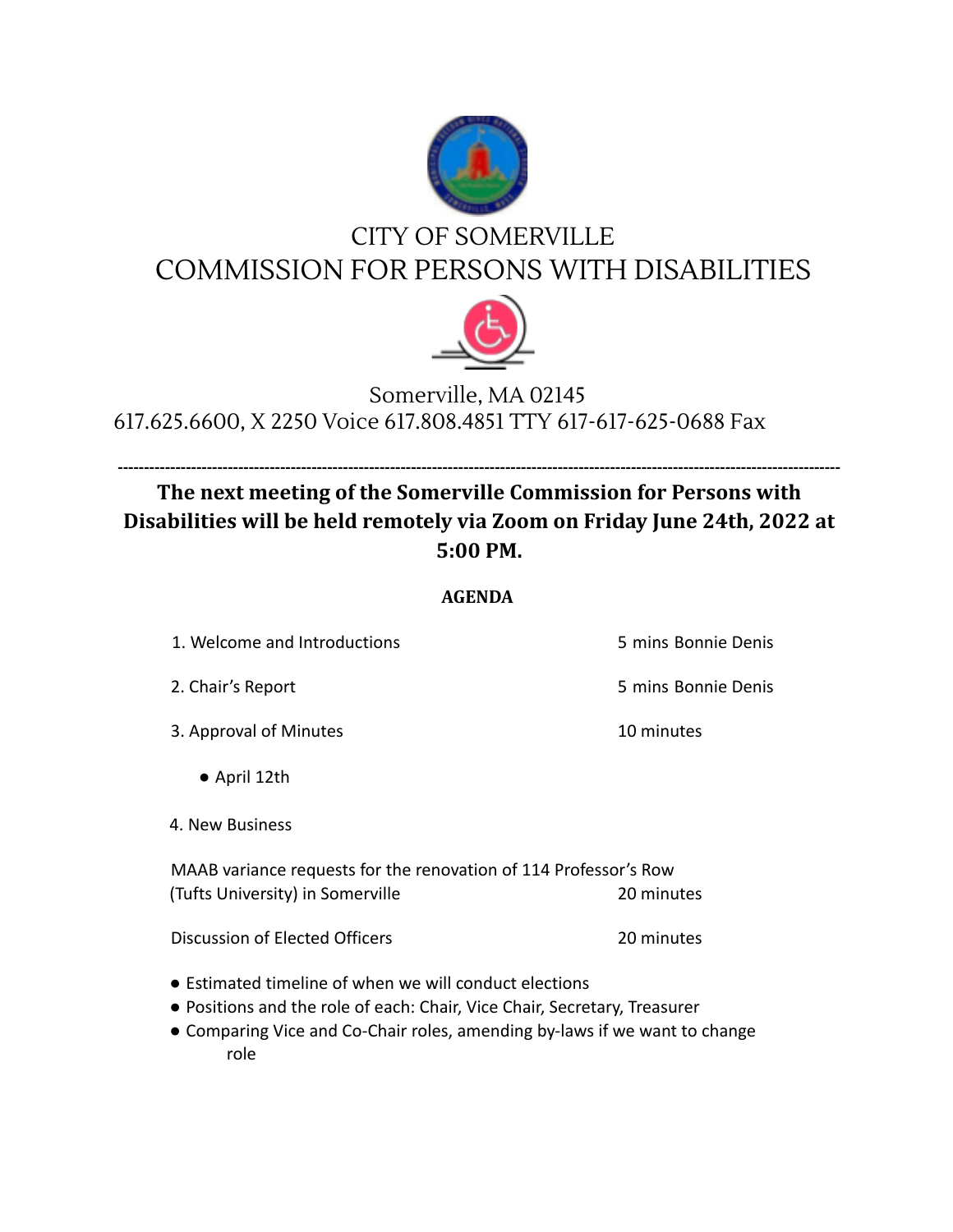

## CITY OF SOMERVILLE COMMISSION FOR PERSONS WITH DISABILITIES



## Somerville, MA 02145 617.625.6600, X 2250 Voice 617.808.4851 TTY 617-617-625-0688 Fax

## **------------------------------------------------------------------------------------------------------------------------------------------ The next meeting of the Somerville Commission for Persons with Disabilities will be held remotely via Zoom on Friday June 24th, 2022 at 5:00 PM.**

## **AGENDA**

| 1. Welcome and Introductions |
|------------------------------|
|------------------------------|

- 
- 3. Approval of Minutes and Table 10 minutes
	- April 12th
- 4. New Business

MAAB variance requests for the renovation of 114 Professor's Row (Tufts University) in Somerville 20 minutes

Discussion of Elected Officers 20 minutes

- Estimated timeline of when we will conduct elections
- Positions and the role of each: Chair, Vice Chair, Secretary, Treasurer
- Comparing Vice and Co-Chair roles, amending by-laws if we want to change role

5 mins Bonnie Denis

2. Chair's Report **12. Chair's Report** 6 mins Bonnie Denis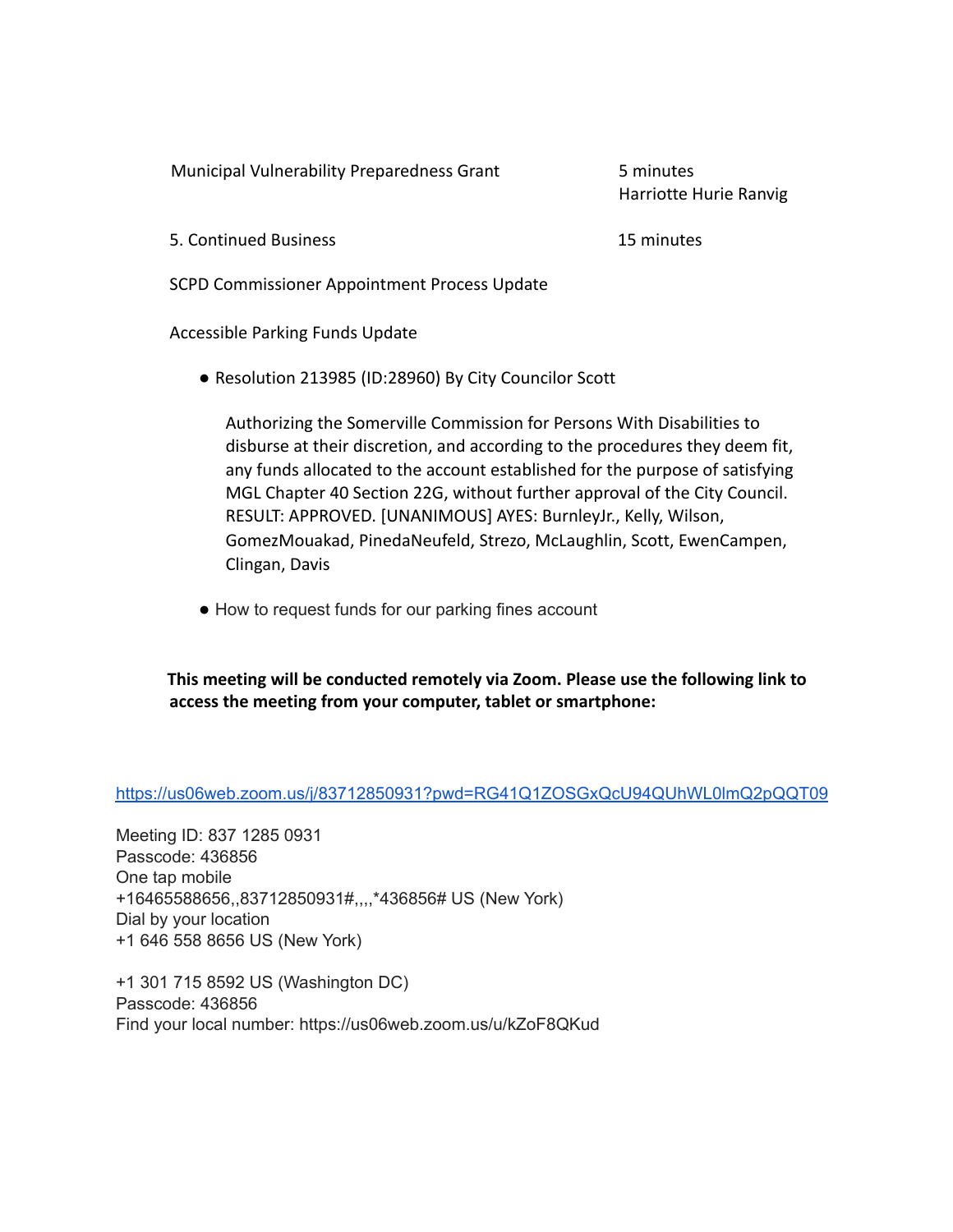Municipal Vulnerability Preparedness Grant 5 minutes

Harriotte Hurie Ranvig

5. Continued Business 15 minutes

SCPD Commissioner Appointment Process Update

Accessible Parking Funds Update

● Resolution 213985 (ID:28960) By City Councilor Scott

Authorizing the Somerville Commission for Persons With Disabilities to disburse at their discretion, and according to the procedures they deem fit, any funds allocated to the account established for the purpose of satisfying MGL Chapter 40 Section 22G, without further approval of the City Council. RESULT: APPROVED. [UNANIMOUS] AYES: BurnleyJr., Kelly, Wilson, GomezMouakad, PinedaNeufeld, Strezo, McLaughlin, Scott, EwenCampen, Clingan, Davis

● How to request funds for our parking fines account

**This meeting will be conducted remotely via Zoom. Please use the following link to access the meeting from your computer, tablet or smartphone:**

<https://us06web.zoom.us/j/83712850931?pwd=RG41Q1ZOSGxQcU94QUhWL0lmQ2pQQT09>

Meeting ID: 837 1285 0931 Passcode: 436856 One tap mobile +16465588656,,83712850931#,,,,\*436856# US (New York) Dial by your location +1 646 558 8656 US (New York)

+1 301 715 8592 US (Washington DC) Passcode: 436856 Find your local number: https://us06web.zoom.us/u/kZoF8QKud